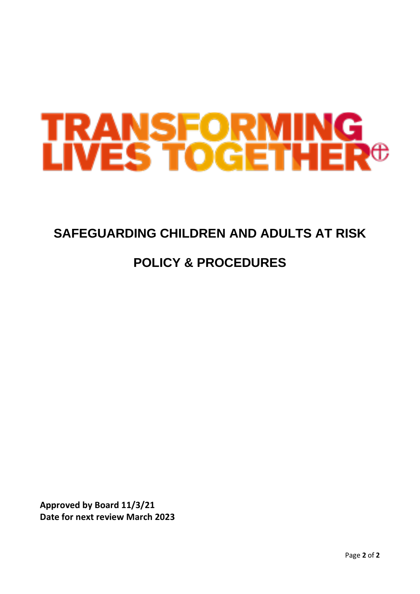# **TRANSFORMING<br>LIVES TOGETHER<sup>®</sup>**

# **SAFEGUARDING CHILDREN AND ADULTS AT RISK**

# **POLICY & PROCEDURES**

**Approved by Board 11/3/21 Date for next review March 2023**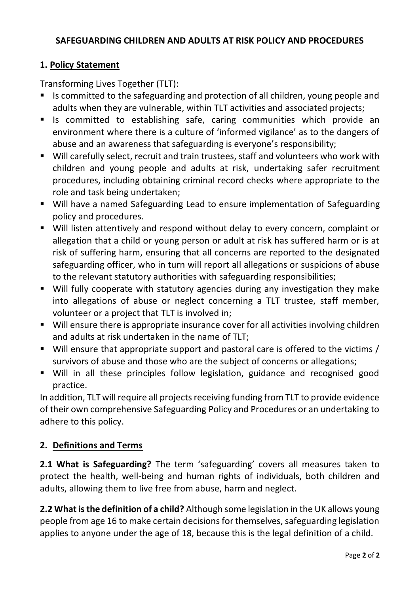# **SAFEGUARDING CHILDREN AND ADULTS AT RISK POLICY AND PROCEDURES**

#### **1. Policy Statement**

Transforming Lives Together (TLT):

- Is committed to the safeguarding and protection of all children, young people and adults when they are vulnerable, within TLT activities and associated projects;
- Is committed to establishing safe, caring communities which provide an environment where there is a culture of 'informed vigilance' as to the dangers of abuse and an awareness that safeguarding is everyone's responsibility;
- Will carefully select, recruit and train trustees, staff and volunteers who work with children and young people and adults at risk, undertaking safer recruitment procedures, including obtaining criminal record checks where appropriate to the role and task being undertaken;
- Will have a named Safeguarding Lead to ensure implementation of Safeguarding policy and procedures.
- Will listen attentively and respond without delay to every concern, complaint or allegation that a child or young person or adult at risk has suffered harm or is at risk of suffering harm, ensuring that all concerns are reported to the designated safeguarding officer, who in turn will report all allegations or suspicions of abuse to the relevant statutory authorities with safeguarding responsibilities;
- Will fully cooperate with statutory agencies during any investigation they make into allegations of abuse or neglect concerning a TLT trustee, staff member, volunteer or a project that TLT is involved in;
- Will ensure there is appropriate insurance cover for all activities involving children and adults at risk undertaken in the name of TLT;
- Will ensure that appropriate support and pastoral care is offered to the victims / survivors of abuse and those who are the subject of concerns or allegations;
- Will in all these principles follow legislation, guidance and recognised good practice.

In addition, TLT will require all projects receiving funding from TLT to provide evidence of their own comprehensive Safeguarding Policy and Procedures or an undertaking to adhere to this policy.

# **2. Definitions and Terms**

**2.1 What is Safeguarding?** The term 'safeguarding' covers all measures taken to protect the health, well-being and human rights of individuals, both children and adults, allowing them to live free from abuse, harm and neglect.

**2.2 What is the definition of a child?** Although some legislation in the UK allows young people from age 16 to make certain decisions for themselves, safeguarding legislation applies to anyone under the age of 18, because this is the legal definition of a child.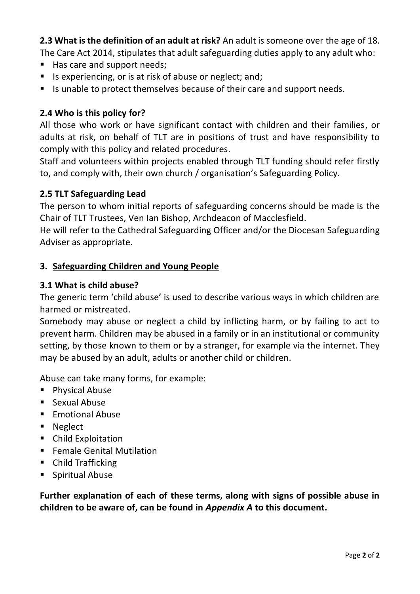**2.3 What is the definition of an adult at risk?** An adult is someone over the age of 18.

The Care Act 2014, stipulates that adult safeguarding duties apply to any adult who:

- Has care and support needs;
- Is experiencing, or is at risk of abuse or neglect; and;
- Is unable to protect themselves because of their care and support needs.

# **2.4 Who is this policy for?**

All those who work or have significant contact with children and their families, or adults at risk, on behalf of TLT are in positions of trust and have responsibility to comply with this policy and related procedures.

Staff and volunteers within projects enabled through TLT funding should refer firstly to, and comply with, their own church / organisation's Safeguarding Policy.

#### **2.5 TLT Safeguarding Lead**

The person to whom initial reports of safeguarding concerns should be made is the Chair of TLT Trustees, Ven Ian Bishop, Archdeacon of Macclesfield.

He will refer to the Cathedral Safeguarding Officer and/or the Diocesan Safeguarding Adviser as appropriate.

#### **3. Safeguarding Children and Young People**

#### **3.1 What is child abuse?**

The generic term 'child abuse' is used to describe various ways in which children are harmed or mistreated.

Somebody may abuse or neglect a child by inflicting harm, or by failing to act to prevent harm. Children may be abused in a family or in an institutional or community setting, by those known to them or by a stranger, for example via the internet. They may be abused by an adult, adults or another child or children.

Abuse can take many forms, for example:

- Physical Abuse
- Sexual Abuse
- Emotional Abuse
- Neglect
- Child Exploitation
- Female Genital Mutilation
- Child Trafficking
- Spiritual Abuse

**Further explanation of each of these terms, along with signs of possible abuse in children to be aware of, can be found in** *Appendix A* **to this document.**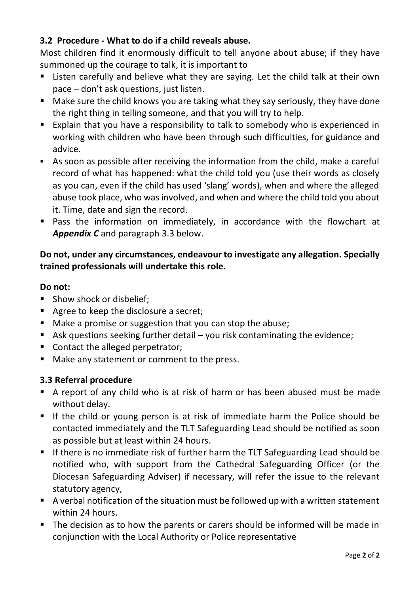# **3.2 Procedure - What to do if a child reveals abuse.**

Most children find it enormously difficult to tell anyone about abuse; if they have summoned up the courage to talk, it is important to

- Listen carefully and believe what they are saying. Let the child talk at their own pace – don't ask questions, just listen.
- Make sure the child knows you are taking what they say seriously, they have done the right thing in telling someone, and that you will try to help.
- Explain that you have a responsibility to talk to somebody who is experienced in working with children who have been through such difficulties, for guidance and advice.
- As soon as possible after receiving the information from the child, make a careful record of what has happened: what the child told you (use their words as closely as you can, even if the child has used 'slang' words), when and where the alleged abuse took place, who was involved, and when and where the child told you about it. Time, date and sign the record.
- Pass the information on immediately, in accordance with the flowchart at *Appendix C* and paragraph 3.3 below.

# **Do not, under any circumstances, endeavour to investigate any allegation. Specially trained professionals will undertake this role.**

#### **Do not:**

- Show shock or disbelief;
- Agree to keep the disclosure a secret;
- Make a promise or suggestion that you can stop the abuse;
- **E** Ask questions seeking further detail  $-\nu$  you risk contaminating the evidence;
- Contact the alleged perpetrator;
- Make any statement or comment to the press.

# **3.3 Referral procedure**

- A report of any child who is at risk of harm or has been abused must be made without delay.
- If the child or young person is at risk of immediate harm the Police should be contacted immediately and the TLT Safeguarding Lead should be notified as soon as possible but at least within 24 hours.
- If there is no immediate risk of further harm the TLT Safeguarding Lead should be notified who, with support from the Cathedral Safeguarding Officer (or the Diocesan Safeguarding Adviser) if necessary, will refer the issue to the relevant statutory agency,
- A verbal notification of the situation must be followed up with a written statement within 24 hours.
- The decision as to how the parents or carers should be informed will be made in conjunction with the Local Authority or Police representative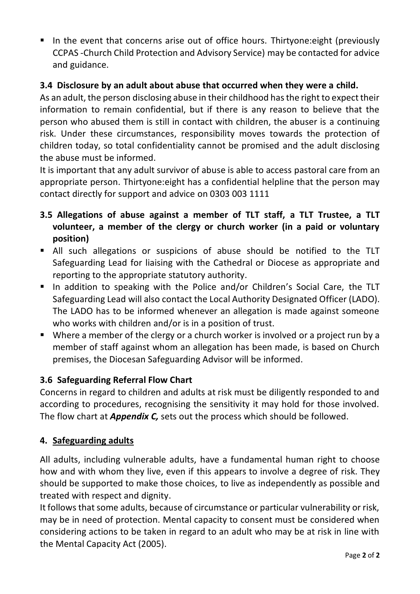■ In the event that concerns arise out of office hours. Thirtyone: eight (previously CCPAS -Church Child Protection and Advisory Service) may be contacted for advice and guidance.

# **3.4 Disclosure by an adult about abuse that occurred when they were a child.**

As an adult, the person disclosing abuse in their childhood has the right to expect their information to remain confidential, but if there is any reason to believe that the person who abused them is still in contact with children, the abuser is a continuing risk. Under these circumstances, responsibility moves towards the protection of children today, so total confidentiality cannot be promised and the adult disclosing the abuse must be informed.

It is important that any adult survivor of abuse is able to access pastoral care from an appropriate person. Thirtyone:eight has a confidential helpline that the person may contact directly for support and advice on 0303 003 1111

- **3.5 Allegations of abuse against a member of TLT staff, a TLT Trustee, a TLT volunteer, a member of the clergy or church worker (in a paid or voluntary position)**
- All such allegations or suspicions of abuse should be notified to the TLT Safeguarding Lead for liaising with the Cathedral or Diocese as appropriate and reporting to the appropriate statutory authority.
- In addition to speaking with the Police and/or Children's Social Care, the TLT Safeguarding Lead will also contact the Local Authority Designated Officer (LADO). The LADO has to be informed whenever an allegation is made against someone who works with children and/or is in a position of trust.
- Where a member of the clergy or a church worker is involved or a project run by a member of staff against whom an allegation has been made, is based on Church premises, the Diocesan Safeguarding Advisor will be informed.

# **3.6 Safeguarding Referral Flow Chart**

Concerns in regard to children and adults at risk must be diligently responded to and according to procedures, recognising the sensitivity it may hold for those involved. The flow chart at *Appendix C,* sets out the process which should be followed.

# **4. Safeguarding adults**

All adults, including vulnerable adults, have a fundamental human right to choose how and with whom they live, even if this appears to involve a degree of risk. They should be supported to make those choices, to live as independently as possible and treated with respect and dignity.

It follows that some adults, because of circumstance or particular vulnerability or risk, may be in need of protection. Mental capacity to consent must be considered when considering actions to be taken in regard to an adult who may be at risk in line with the Mental Capacity Act (2005).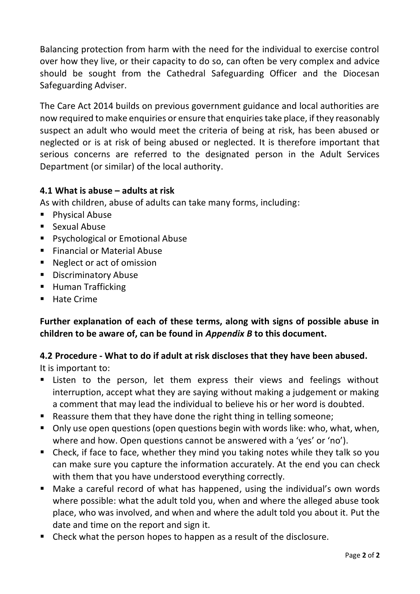Balancing protection from harm with the need for the individual to exercise control over how they live, or their capacity to do so, can often be very complex and advice should be sought from the Cathedral Safeguarding Officer and the Diocesan Safeguarding Adviser.

The Care Act 2014 builds on previous government guidance and local authorities are now required to make enquiries or ensure that enquiries take place, if they reasonably suspect an adult who would meet the criteria of being at risk, has been abused or neglected or is at risk of being abused or neglected. It is therefore important that serious concerns are referred to the designated person in the Adult Services Department (or similar) of the local authority.

# **4.1 What is abuse – adults at risk**

As with children, abuse of adults can take many forms, including:

- Physical Abuse
- Sexual Abuse
- Psychological or Emotional Abuse
- Financial or Material Abuse
- Neglect or act of omission
- Discriminatory Abuse
- Human Trafficking
- Hate Crime

**Further explanation of each of these terms, along with signs of possible abuse in children to be aware of, can be found in** *Appendix B* **to this document.** 

**4.2 Procedure - What to do if adult at risk discloses that they have been abused.** It is important to:

- Listen to the person, let them express their views and feelings without interruption, accept what they are saying without making a judgement or making a comment that may lead the individual to believe his or her word is doubted.
- Reassure them that they have done the right thing in telling someone;
- Only use open questions (open questions begin with words like: who, what, when, where and how. Open questions cannot be answered with a 'yes' or 'no').
- Check, if face to face, whether they mind you taking notes while they talk so you can make sure you capture the information accurately. At the end you can check with them that you have understood everything correctly.
- Make a careful record of what has happened, using the individual's own words where possible: what the adult told you, when and where the alleged abuse took place, who was involved, and when and where the adult told you about it. Put the date and time on the report and sign it.
- Check what the person hopes to happen as a result of the disclosure.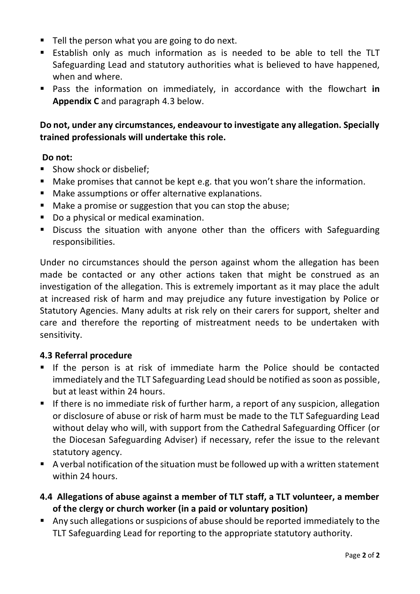- Tell the person what you are going to do next.
- Establish only as much information as is needed to be able to tell the TLT Safeguarding Lead and statutory authorities what is believed to have happened, when and where.
- Pass the information on immediately, in accordance with the flowchart in **Appendix C** and paragraph 4.3 below.

# **Do not, under any circumstances, endeavour to investigate any allegation. Specially trained professionals will undertake this role.**

# **Do not:**

- Show shock or disbelief:
- Make promises that cannot be kept e.g. that you won't share the information.
- Make assumptions or offer alternative explanations.
- Make a promise or suggestion that you can stop the abuse;
- Do a physical or medical examination.
- **E** Discuss the situation with anyone other than the officers with Safeguarding responsibilities.

Under no circumstances should the person against whom the allegation has been made be contacted or any other actions taken that might be construed as an investigation of the allegation. This is extremely important as it may place the adult at increased risk of harm and may prejudice any future investigation by Police or Statutory Agencies. Many adults at risk rely on their carers for support, shelter and care and therefore the reporting of mistreatment needs to be undertaken with sensitivity.

# **4.3 Referral procedure**

- **■** If the person is at risk of immediate harm the Police should be contacted immediately and the TLT Safeguarding Lead should be notified as soon as possible, but at least within 24 hours.
- **E** If there is no immediate risk of further harm, a report of any suspicion, allegation or disclosure of abuse or risk of harm must be made to the TLT Safeguarding Lead without delay who will, with support from the Cathedral Safeguarding Officer (or the Diocesan Safeguarding Adviser) if necessary, refer the issue to the relevant statutory agency.
- A verbal notification of the situation must be followed up with a written statement within 24 hours.
- **4.4 Allegations of abuse against a member of TLT staff, a TLT volunteer, a member of the clergy or church worker (in a paid or voluntary position)**
- Any such allegations or suspicions of abuse should be reported immediately to the TLT Safeguarding Lead for reporting to the appropriate statutory authority.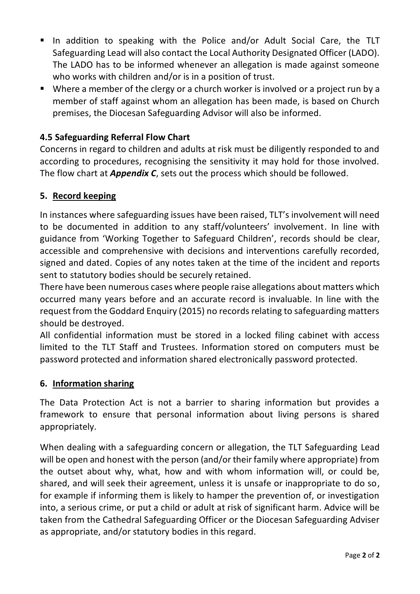- In addition to speaking with the Police and/or Adult Social Care, the TLT Safeguarding Lead will also contact the Local Authority Designated Officer (LADO). The LADO has to be informed whenever an allegation is made against someone who works with children and/or is in a position of trust.
- Where a member of the clergy or a church worker is involved or a project run by a member of staff against whom an allegation has been made, is based on Church premises, the Diocesan Safeguarding Advisor will also be informed.

# **4.5 Safeguarding Referral Flow Chart**

Concerns in regard to children and adults at risk must be diligently responded to and according to procedures, recognising the sensitivity it may hold for those involved. The flow chart at *Appendix C*, sets out the process which should be followed.

# **5. Record keeping**

In instances where safeguarding issues have been raised, TLT's involvement will need to be documented in addition to any staff/volunteers' involvement. In line with guidance from 'Working Together to Safeguard Children', records should be clear, accessible and comprehensive with decisions and interventions carefully recorded, signed and dated. Copies of any notes taken at the time of the incident and reports sent to statutory bodies should be securely retained.

There have been numerous cases where people raise allegations about matters which occurred many years before and an accurate record is invaluable. In line with the request from the Goddard Enquiry (2015) no records relating to safeguarding matters should be destroyed.

All confidential information must be stored in a locked filing cabinet with access limited to the TLT Staff and Trustees. Information stored on computers must be password protected and information shared electronically password protected.

#### **6. Information sharing**

The Data Protection Act is not a barrier to sharing information but provides a framework to ensure that personal information about living persons is shared appropriately.

When dealing with a safeguarding concern or allegation, the TLT Safeguarding Lead will be open and honest with the person (and/or their family where appropriate) from the outset about why, what, how and with whom information will, or could be, shared, and will seek their agreement, unless it is unsafe or inappropriate to do so, for example if informing them is likely to hamper the prevention of, or investigation into, a serious crime, or put a child or adult at risk of significant harm. Advice will be taken from the Cathedral Safeguarding Officer or the Diocesan Safeguarding Adviser as appropriate, and/or statutory bodies in this regard.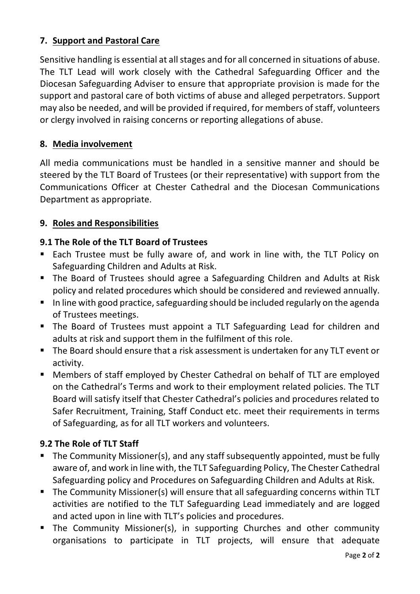# **7. Support and Pastoral Care**

Sensitive handling is essential at all stages and for all concerned in situations of abuse. The TLT Lead will work closely with the Cathedral Safeguarding Officer and the Diocesan Safeguarding Adviser to ensure that appropriate provision is made for the support and pastoral care of both victims of abuse and alleged perpetrators. Support may also be needed, and will be provided if required, for members of staff, volunteers or clergy involved in raising concerns or reporting allegations of abuse.

# **8. Media involvement**

All media communications must be handled in a sensitive manner and should be steered by the TLT Board of Trustees (or their representative) with support from the Communications Officer at Chester Cathedral and the Diocesan Communications Department as appropriate.

# **9. Roles and Responsibilities**

# **9.1 The Role of the TLT Board of Trustees**

- Each Trustee must be fully aware of, and work in line with, the TLT Policy on Safeguarding Children and Adults at Risk.
- The Board of Trustees should agree a Safeguarding Children and Adults at Risk policy and related procedures which should be considered and reviewed annually.
- In line with good practice, safeguarding should be included regularly on the agenda of Trustees meetings.
- The Board of Trustees must appoint a TLT Safeguarding Lead for children and adults at risk and support them in the fulfilment of this role.
- The Board should ensure that a risk assessment is undertaken for any TLT event or activity.
- Members of staff employed by Chester Cathedral on behalf of TLT are employed on the Cathedral's Terms and work to their employment related policies. The TLT Board will satisfy itself that Chester Cathedral's policies and procedures related to Safer Recruitment, Training, Staff Conduct etc. meet their requirements in terms of Safeguarding, as for all TLT workers and volunteers.

# **9.2 The Role of TLT Staff**

- The Community Missioner(s), and any staff subsequently appointed, must be fully aware of, and work in line with, the TLT Safeguarding Policy, The Chester Cathedral Safeguarding policy and Procedures on Safeguarding Children and Adults at Risk.
- The Community Missioner(s) will ensure that all safeguarding concerns within TLT activities are notified to the TLT Safeguarding Lead immediately and are logged and acted upon in line with TLT's policies and procedures.
- **E** The Community Missioner(s), in supporting Churches and other community organisations to participate in TLT projects, will ensure that adequate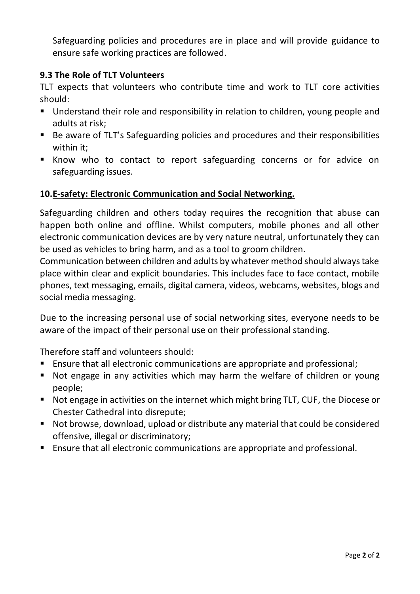Safeguarding policies and procedures are in place and will provide guidance to ensure safe working practices are followed.

# **9.3 The Role of TLT Volunteers**

TLT expects that volunteers who contribute time and work to TLT core activities should:

- Understand their role and responsibility in relation to children, young people and adults at risk;
- Be aware of TLT's Safeguarding policies and procedures and their responsibilities within it;
- Know who to contact to report safeguarding concerns or for advice on safeguarding issues.

# **10.E-safety: Electronic Communication and Social Networking.**

Safeguarding children and others today requires the recognition that abuse can happen both online and offline. Whilst computers, mobile phones and all other electronic communication devices are by very nature neutral, unfortunately they can be used as vehicles to bring harm, and as a tool to groom children.

Communication between children and adults by whatever method should always take place within clear and explicit boundaries. This includes face to face contact, mobile phones, text messaging, emails, digital camera, videos, webcams, websites, blogs and social media messaging.

Due to the increasing personal use of social networking sites, everyone needs to be aware of the impact of their personal use on their professional standing.

Therefore staff and volunteers should:

- Ensure that all electronic communications are appropriate and professional;
- Not engage in any activities which may harm the welfare of children or young people;
- Not engage in activities on the internet which might bring TLT, CUF, the Diocese or Chester Cathedral into disrepute;
- Not browse, download, upload or distribute any material that could be considered offensive, illegal or discriminatory;
- Ensure that all electronic communications are appropriate and professional.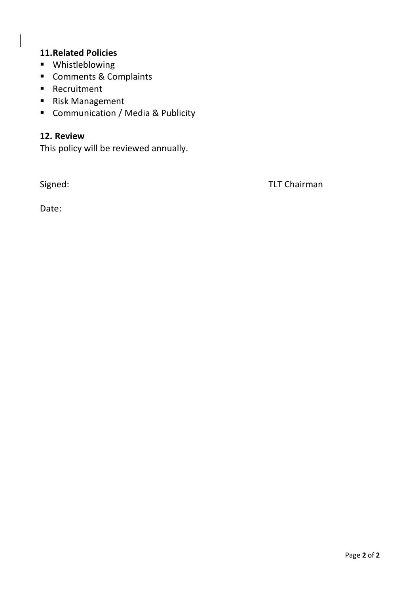# **11.Related Policies**

- Whistleblowing
- Comments & Complaints
- Recruitment
- Risk Management
- Communication / Media & Publicity

# **12. Review**

This policy will be reviewed annually.

Signed: TLT Chairman

Date: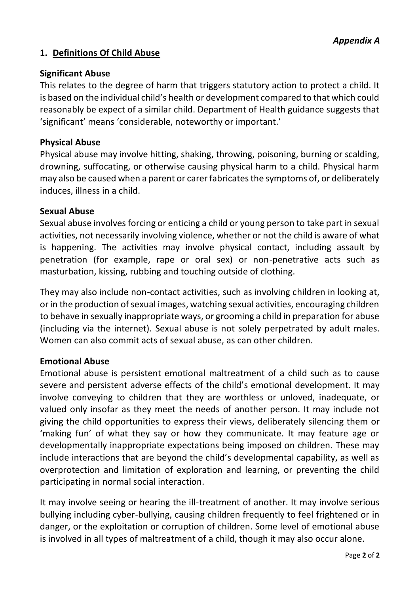# **1. Definitions Of Child Abuse**

#### **Significant Abuse**

This relates to the degree of harm that triggers statutory action to protect a child. It is based on the individual child's health or development compared to that which could reasonably be expect of a similar child. Department of Health guidance suggests that 'significant' means 'considerable, noteworthy or important.'

#### **Physical Abuse**

Physical abuse may involve hitting, shaking, throwing, poisoning, burning or scalding, drowning, suffocating, or otherwise causing physical harm to a child. Physical harm may also be caused when a parent or carer fabricates the symptoms of, or deliberately induces, illness in a child.

#### **Sexual Abuse**

Sexual abuse involves forcing or enticing a child or young person to take part in sexual activities, not necessarily involving violence, whether or not the child is aware of what is happening. The activities may involve physical contact, including assault by penetration (for example, rape or oral sex) or non-penetrative acts such as masturbation, kissing, rubbing and touching outside of clothing.

They may also include non-contact activities, such as involving children in looking at, or in the production of sexual images, watching sexual activities, encouraging children to behave in sexually inappropriate ways, or grooming a child in preparation for abuse (including via the internet). Sexual abuse is not solely perpetrated by adult males. Women can also commit acts of sexual abuse, as can other children.

#### **Emotional Abuse**

Emotional abuse is persistent emotional maltreatment of a child such as to cause severe and persistent adverse effects of the child's emotional development. It may involve conveying to children that they are worthless or unloved, inadequate, or valued only insofar as they meet the needs of another person. It may include not giving the child opportunities to express their views, deliberately silencing them or 'making fun' of what they say or how they communicate. It may feature age or developmentally inappropriate expectations being imposed on children. These may include interactions that are beyond the child's developmental capability, as well as overprotection and limitation of exploration and learning, or preventing the child participating in normal social interaction.

It may involve seeing or hearing the ill-treatment of another. It may involve serious bullying including cyber-bullying, causing children frequently to feel frightened or in danger, or the exploitation or corruption of children. Some level of emotional abuse is involved in all types of maltreatment of a child, though it may also occur alone.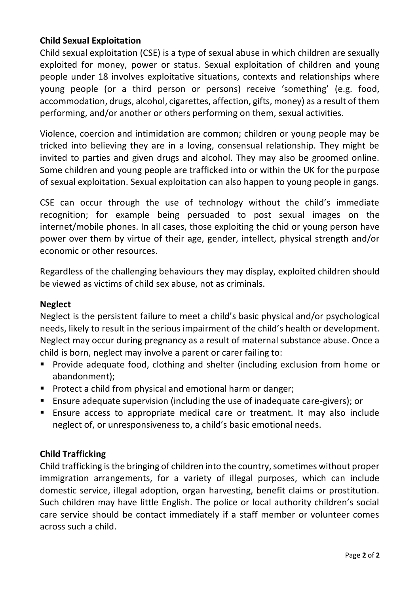# **Child Sexual Exploitation**

Child sexual exploitation (CSE) is a type of sexual abuse in which children are sexually exploited for money, power or status. Sexual exploitation of children and young people under 18 involves exploitative situations, contexts and relationships where young people (or a third person or persons) receive 'something' (e.g. food, accommodation, drugs, alcohol, cigarettes, affection, gifts, money) as a result of them performing, and/or another or others performing on them, sexual activities.

Violence, coercion and intimidation are common; children or young people may be tricked into believing they are in a loving, consensual relationship. They might be invited to parties and given drugs and alcohol. They may also be groomed online. Some children and young people are trafficked into or within the UK for the purpose of sexual exploitation. Sexual exploitation can also happen to young people in gangs.

CSE can occur through the use of technology without the child's immediate recognition; for example being persuaded to post sexual images on the internet/mobile phones. In all cases, those exploiting the chid or young person have power over them by virtue of their age, gender, intellect, physical strength and/or economic or other resources.

Regardless of the challenging behaviours they may display, exploited children should be viewed as victims of child sex abuse, not as criminals.

# **Neglect**

Neglect is the persistent failure to meet a child's basic physical and/or psychological needs, likely to result in the serious impairment of the child's health or development. Neglect may occur during pregnancy as a result of maternal substance abuse. Once a child is born, neglect may involve a parent or carer failing to:

- Provide adequate food, clothing and shelter (including exclusion from home or abandonment);
- Protect a child from physical and emotional harm or danger;
- Ensure adequate supervision (including the use of inadequate care-givers); or
- Ensure access to appropriate medical care or treatment. It may also include neglect of, or unresponsiveness to, a child's basic emotional needs.

# **Child Trafficking**

Child trafficking is the bringing of children into the country, sometimes without proper immigration arrangements, for a variety of illegal purposes, which can include domestic service, illegal adoption, organ harvesting, benefit claims or prostitution. Such children may have little English. The police or local authority children's social care service should be contact immediately if a staff member or volunteer comes across such a child.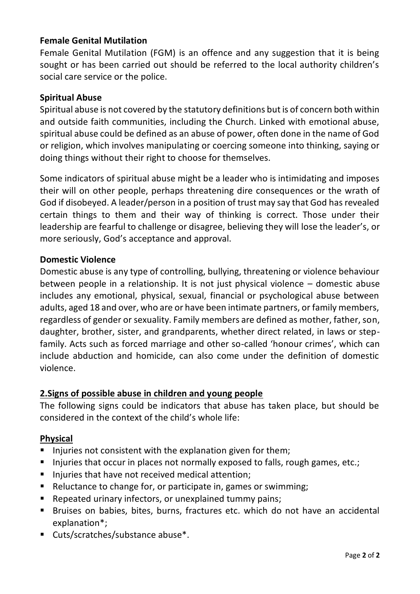# **Female Genital Mutilation**

Female Genital Mutilation (FGM) is an offence and any suggestion that it is being sought or has been carried out should be referred to the local authority children's social care service or the police.

#### **Spiritual Abuse**

Spiritual abuse is not covered by the statutory definitions but is of concern both within and outside faith communities, including the Church. Linked with emotional abuse, spiritual abuse could be defined as an abuse of power, often done in the name of God or religion, which involves manipulating or coercing someone into thinking, saying or doing things without their right to choose for themselves.

Some indicators of spiritual abuse might be a leader who is intimidating and imposes their will on other people, perhaps threatening dire consequences or the wrath of God if disobeyed. A leader/person in a position of trust may say that God has revealed certain things to them and their way of thinking is correct. Those under their leadership are fearful to challenge or disagree, believing they will lose the leader's, or more seriously, God's acceptance and approval.

#### **Domestic Violence**

Domestic abuse is any type of controlling, bullying, threatening or violence behaviour between people in a relationship. It is not just physical violence – domestic abuse includes any emotional, physical, sexual, financial or psychological abuse between adults, aged 18 and over, who are or have been intimate partners, or family members, regardless of gender or sexuality. Family members are defined as mother, father, son, daughter, brother, sister, and grandparents, whether direct related, in laws or stepfamily. Acts such as forced marriage and other so-called 'honour crimes', which can include abduction and homicide, can also come under the definition of domestic violence.

#### **2.Signs of possible abuse in children and young people**

The following signs could be indicators that abuse has taken place, but should be considered in the context of the child's whole life:

#### **Physical**

- Injuries not consistent with the explanation given for them;
- **E** Injuries that occur in places not normally exposed to falls, rough games, etc.;
- Injuries that have not received medical attention;
- Reluctance to change for, or participate in, games or swimming;
- Repeated urinary infectors, or unexplained tummy pains;
- Bruises on babies, bites, burns, fractures etc. which do not have an accidental explanation\*;
- Cuts/scratches/substance abuse<sup>\*</sup>.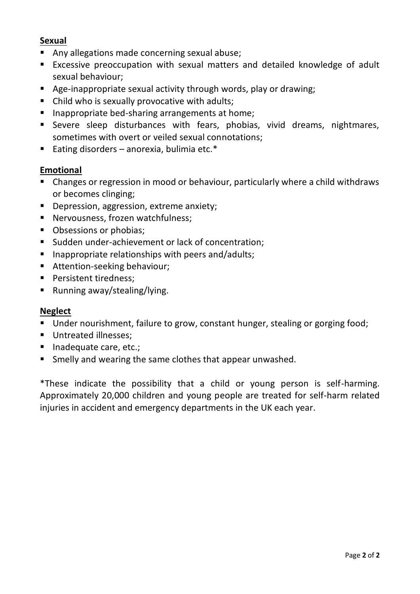#### **Sexual**

- Any allegations made concerning sexual abuse;
- Excessive preoccupation with sexual matters and detailed knowledge of adult sexual behaviour;
- Age-inappropriate sexual activity through words, play or drawing;
- Child who is sexually provocative with adults;
- Inappropriate bed-sharing arrangements at home;
- Severe sleep disturbances with fears, phobias, vivid dreams, nightmares, sometimes with overt or veiled sexual connotations;
- Eating disorders anorexia, bulimia etc. $*$

# **Emotional**

- Changes or regression in mood or behaviour, particularly where a child withdraws or becomes clinging;
- Depression, aggression, extreme anxiety;
- Nervousness, frozen watchfulness;
- Obsessions or phobias;
- Sudden under-achievement or lack of concentration;
- Inappropriate relationships with peers and/adults;
- Attention-seeking behaviour:
- Persistent tiredness;
- Running away/stealing/lying.

#### **Neglect**

- Under nourishment, failure to grow, constant hunger, stealing or gorging food;
- Untreated illnesses;
- Inadequate care, etc.;
- Smelly and wearing the same clothes that appear unwashed.

\*These indicate the possibility that a child or young person is self-harming. Approximately 20,000 children and young people are treated for self-harm related injuries in accident and emergency departments in the UK each year.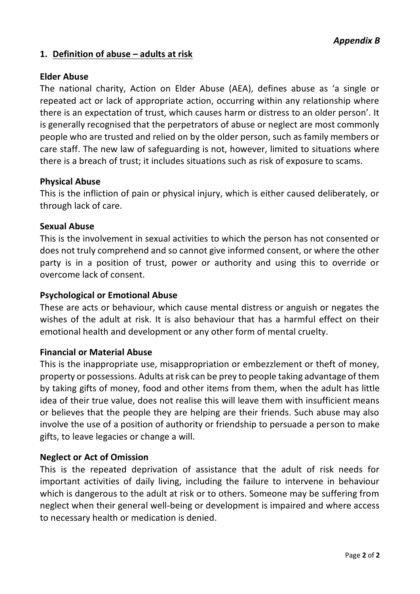# **1. Definition of abuse – adults at risk**

#### **Elder Abuse**

The national charity, Action on Elder Abuse (AEA), defines abuse as 'a single or repeated act or lack of appropriate action, occurring within any relationship where there is an expectation of trust, which causes harm or distress to an older person'. It is generally recognised that the perpetrators of abuse or neglect are most commonly people who are trusted and relied on by the older person, such as family members or care staff. The new law of safeguarding is not, however, limited to situations where there is a breach of trust; it includes situations such as risk of exposure to scams.

#### **Physical Abuse**

This is the infliction of pain or physical injury, which is either caused deliberately, or through lack of care.

#### **Sexual Abuse**

This is the involvement in sexual activities to which the person has not consented or does not truly comprehend and so cannot give informed consent, or where the other party is in a position of trust, power or authority and using this to override or overcome lack of consent.

#### **Psychological or Emotional Abuse**

These are acts or behaviour, which cause mental distress or anguish or negates the wishes of the adult at risk. It is also behaviour that has a harmful effect on their emotional health and development or any other form of mental cruelty.

#### **Financial or Material Abuse**

This is the inappropriate use, misappropriation or embezzlement or theft of money, property or possessions. Adults at risk can be prey to people taking advantage of them by taking gifts of money, food and other items from them, when the adult has little idea of their true value, does not realise this will leave them with insufficient means or believes that the people they are helping are their friends. Such abuse may also involve the use of a position of authority or friendship to persuade a person to make gifts, to leave legacies or change a will.

#### **Neglect or Act of Omission**

This is the repeated deprivation of assistance that the adult of risk needs for important activities of daily living, including the failure to intervene in behaviour which is dangerous to the adult at risk or to others. Someone may be suffering from neglect when their general well-being or development is impaired and where access to necessary health or medication is denied.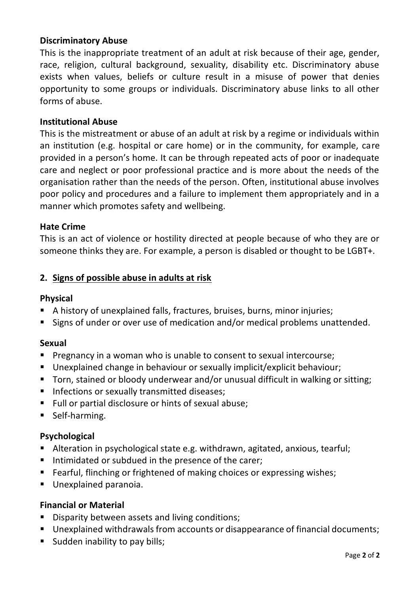#### **Discriminatory Abuse**

This is the inappropriate treatment of an adult at risk because of their age, gender, race, religion, cultural background, sexuality, disability etc. Discriminatory abuse exists when values, beliefs or culture result in a misuse of power that denies opportunity to some groups or individuals. Discriminatory abuse links to all other forms of abuse.

#### **Institutional Abuse**

This is the mistreatment or abuse of an adult at risk by a regime or individuals within an institution (e.g. hospital or care home) or in the community, for example, care provided in a person's home. It can be through repeated acts of poor or inadequate care and neglect or poor professional practice and is more about the needs of the organisation rather than the needs of the person. Often, institutional abuse involves poor policy and procedures and a failure to implement them appropriately and in a manner which promotes safety and wellbeing.

#### **Hate Crime**

This is an act of violence or hostility directed at people because of who they are or someone thinks they are. For example, a person is disabled or thought to be LGBT+.

#### **2. Signs of possible abuse in adults at risk**

#### **Physical**

- A history of unexplained falls, fractures, bruises, burns, minor injuries;
- Signs of under or over use of medication and/or medical problems unattended.

#### **Sexual**

- Pregnancy in a woman who is unable to consent to sexual intercourse;
- Unexplained change in behaviour or sexually implicit/explicit behaviour;
- Torn, stained or bloody underwear and/or unusual difficult in walking or sitting;
- Infections or sexually transmitted diseases;
- Full or partial disclosure or hints of sexual abuse;
- Self-harming.

#### **Psychological**

- Alteration in psychological state e.g. withdrawn, agitated, anxious, tearful;
- Intimidated or subdued in the presence of the carer;
- Fearful, flinching or frightened of making choices or expressing wishes;
- **■** Unexplained paranoia.

#### **Financial or Material**

- Disparity between assets and living conditions;
- Unexplained withdrawals from accounts or disappearance of financial documents;
- Sudden inability to pay bills;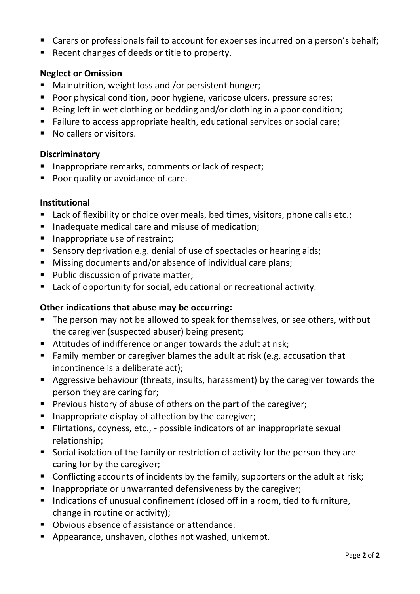- Carers or professionals fail to account for expenses incurred on a person's behalf;
- Recent changes of deeds or title to property.

# **Neglect or Omission**

- Malnutrition, weight loss and /or persistent hunger;
- Poor physical condition, poor hygiene, varicose ulcers, pressure sores;
- Being left in wet clothing or bedding and/or clothing in a poor condition;
- Failure to access appropriate health, educational services or social care;
- No callers or visitors.

# **Discriminatory**

- Inappropriate remarks, comments or lack of respect;
- Poor quality or avoidance of care.

# **Institutional**

- Lack of flexibility or choice over meals, bed times, visitors, phone calls etc.;
- Inadequate medical care and misuse of medication;
- Inappropriate use of restraint;
- Sensory deprivation e.g. denial of use of spectacles or hearing aids:
- Missing documents and/or absence of individual care plans;
- Public discussion of private matter;
- Lack of opportunity for social, educational or recreational activity.

# **Other indications that abuse may be occurring:**

- The person may not be allowed to speak for themselves, or see others, without the caregiver (suspected abuser) being present;
- Attitudes of indifference or anger towards the adult at risk;
- Family member or caregiver blames the adult at risk (e.g. accusation that incontinence is a deliberate act);
- Aggressive behaviour (threats, insults, harassment) by the caregiver towards the person they are caring for;
- Previous history of abuse of others on the part of the caregiver;
- Inappropriate display of affection by the caregiver;
- Flirtations, coyness, etc., possible indicators of an inappropriate sexual relationship;
- Social isolation of the family or restriction of activity for the person they are caring for by the caregiver;
- Conflicting accounts of incidents by the family, supporters or the adult at risk;
- Inappropriate or unwarranted defensiveness by the caregiver;
- Indications of unusual confinement (closed off in a room, tied to furniture, change in routine or activity);
- Obvious absence of assistance or attendance.
- Appearance, unshaven, clothes not washed, unkempt.